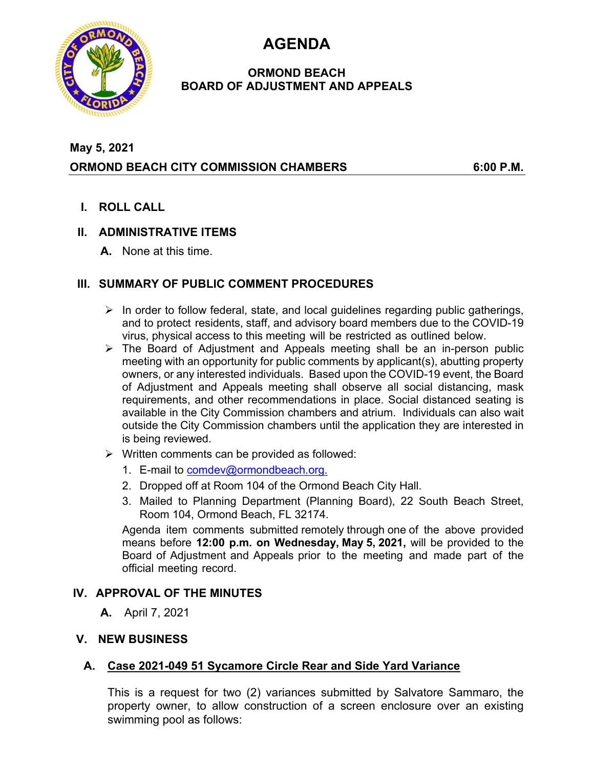**AGENDA** 



#### **ORMOND BEACH BOARD OF ADJUSTMENT AND APPEALS**

# **May 5, 2021 ORMOND BEACH CITY COMMISSION CHAMBERS 6:00 P.M.**

**I. ROLL CALL** 

### **II. ADMINISTRATIVE ITEMS**

**A.** None at this time.

# **III. SUMMARY OF PUBLIC COMMENT PROCEDURES**

- $\triangleright$  In order to follow federal, state, and local guidelines regarding public gatherings, and to protect residents, staff, and advisory board members due to the COVID-19 virus, physical access to this meeting will be restricted as outlined below.
- $\triangleright$  The Board of Adjustment and Appeals meeting shall be an in-person public meeting with an opportunity for public comments by applicant(s), abutting property owners, or any interested individuals. Based upon the COVID-19 event, the Board of Adjustment and Appeals meeting shall observe all social distancing, mask requirements, and other recommendations in place. Social distanced seating is available in the City Commission chambers and atrium. Individuals can also wait outside the City Commission chambers until the application they are interested in is being reviewed.
- $\triangleright$  Written comments can be provided as followed:
	- 1. E-mail to comdev@ormondbeach.org.
	- 2. Dropped off at Room 104 of the Ormond Beach City Hall.
	- 3. Mailed to Planning Department (Planning Board), 22 South Beach Street, Room 104, Ormond Beach, FL 32174.

Agenda item comments submitted remotely through one of the above provided means before **12:00 p.m. on Wednesday, May 5, 2021,** will be provided to the Board of Adjustment and Appeals prior to the meeting and made part of the official meeting record.

#### **IV. APPROVAL OF THE MINUTES**

**A.** April 7, 2021

#### **V. NEW BUSINESS**

# **A. Case 2021-049 51 Sycamore Circle Rear and Side Yard Variance**

This is a request for two (2) variances submitted by Salvatore Sammaro, the property owner, to allow construction of a screen enclosure over an existing swimming pool as follows: